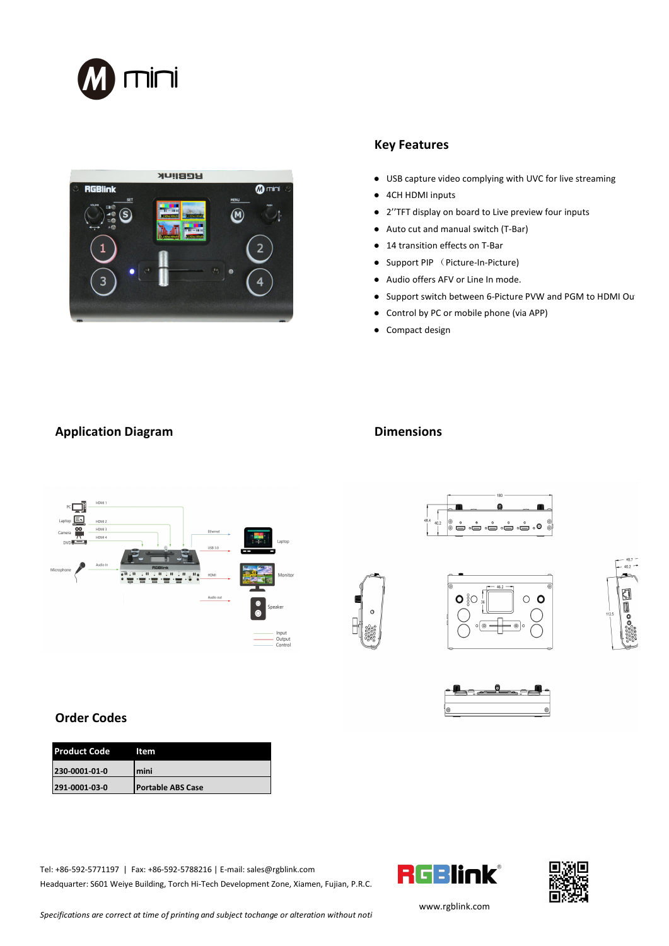



## **Key Features**

- USB capture video complying with UVC for live streaming
- 4CH HDMI inputs
- 2''TFT display on board to Live preview four inputs
- Auto cut and manual switch (T-Bar)
- 14 transition effects on T-Bar
- Support PIP (Picture-In-Picture)
- 
- Audio offers AFV or Line In mode.<br>● Support switch between 6-Picture PVW and PGM to HDMI Out
- Control by PC or mobile phone (via APP)
- Compact design

## **Application Diagram Dimensions**













 $\circ$  o

## **Order Codes**

| <b>Product Code</b> | ltem                     |  |
|---------------------|--------------------------|--|
| 230-0001-01-0       | Imini                    |  |
| 291-0001-03-0       | <b>Portable ABS Case</b> |  |

Tel: +86-592-5771197 | Fax: +86-592-5788216 | E-mail: sales@rgblink.com<br>Usedsus ter CO1 Webig Building Tersh Ui Tech Dauglapment Zone Viener, Fujian B.B.C. [ ...] Headquarter: S601 Weiye Building, Torch Hi-Tech Development Zone, Xiamen, Fujian, P.R.C.





[w](http://www.rgblink.com)ww.rgblink.com